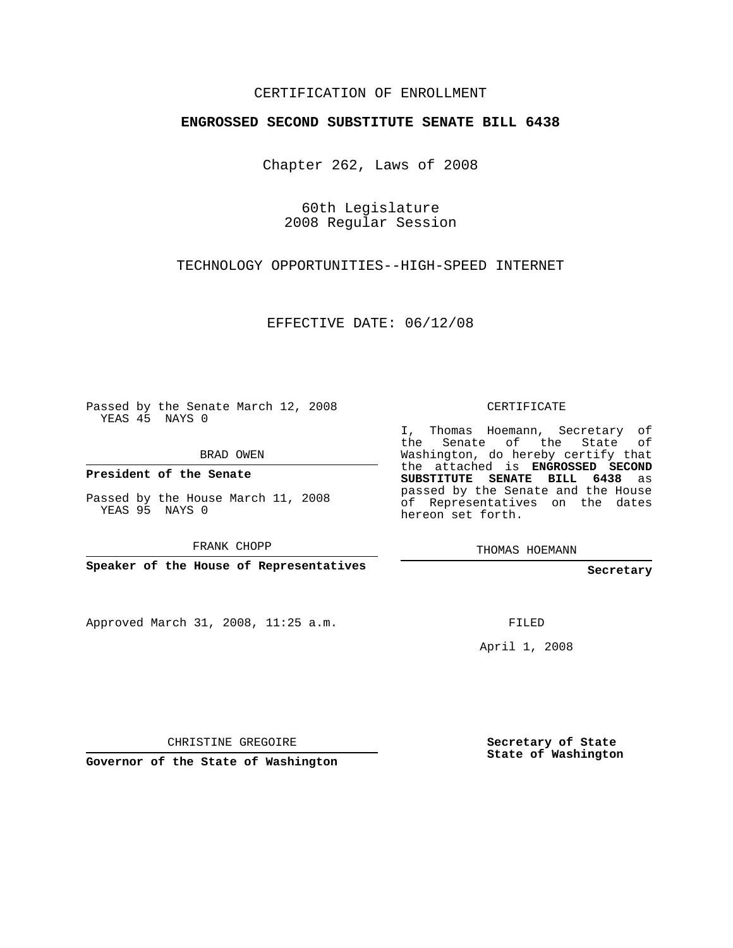## CERTIFICATION OF ENROLLMENT

## **ENGROSSED SECOND SUBSTITUTE SENATE BILL 6438**

Chapter 262, Laws of 2008

60th Legislature 2008 Regular Session

TECHNOLOGY OPPORTUNITIES--HIGH-SPEED INTERNET

EFFECTIVE DATE: 06/12/08

Passed by the Senate March 12, 2008 YEAS 45 NAYS 0

BRAD OWEN

**President of the Senate**

Passed by the House March 11, 2008 YEAS 95 NAYS 0

FRANK CHOPP

**Speaker of the House of Representatives**

Approved March 31, 2008, 11:25 a.m.

CERTIFICATE

I, Thomas Hoemann, Secretary of the Senate of the State of Washington, do hereby certify that the attached is **ENGROSSED SECOND SUBSTITUTE SENATE BILL 6438** as passed by the Senate and the House of Representatives on the dates hereon set forth.

THOMAS HOEMANN

**Secretary**

FILED

April 1, 2008

CHRISTINE GREGOIRE

**Governor of the State of Washington**

**Secretary of State State of Washington**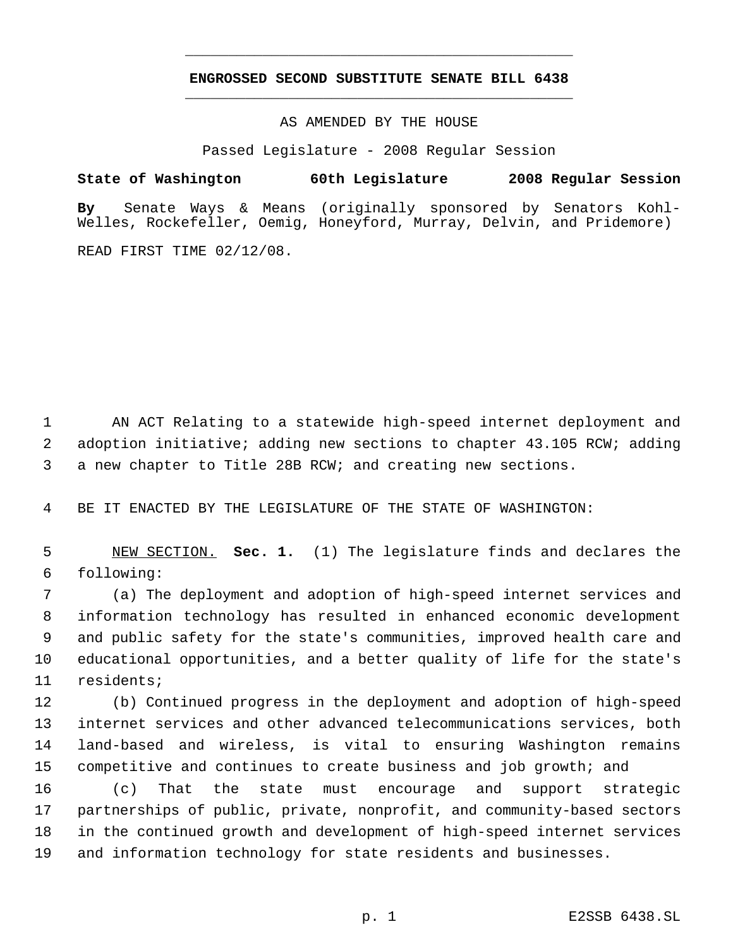## **ENGROSSED SECOND SUBSTITUTE SENATE BILL 6438** \_\_\_\_\_\_\_\_\_\_\_\_\_\_\_\_\_\_\_\_\_\_\_\_\_\_\_\_\_\_\_\_\_\_\_\_\_\_\_\_\_\_\_\_\_

\_\_\_\_\_\_\_\_\_\_\_\_\_\_\_\_\_\_\_\_\_\_\_\_\_\_\_\_\_\_\_\_\_\_\_\_\_\_\_\_\_\_\_\_\_

AS AMENDED BY THE HOUSE

Passed Legislature - 2008 Regular Session

**State of Washington 60th Legislature 2008 Regular Session By** Senate Ways & Means (originally sponsored by Senators Kohl-Welles, Rockefeller, Oemig, Honeyford, Murray, Delvin, and Pridemore)

READ FIRST TIME 02/12/08.

 AN ACT Relating to a statewide high-speed internet deployment and adoption initiative; adding new sections to chapter 43.105 RCW; adding a new chapter to Title 28B RCW; and creating new sections.

BE IT ENACTED BY THE LEGISLATURE OF THE STATE OF WASHINGTON:

 NEW SECTION. **Sec. 1.** (1) The legislature finds and declares the following:

 (a) The deployment and adoption of high-speed internet services and information technology has resulted in enhanced economic development and public safety for the state's communities, improved health care and educational opportunities, and a better quality of life for the state's residents;

 (b) Continued progress in the deployment and adoption of high-speed internet services and other advanced telecommunications services, both land-based and wireless, is vital to ensuring Washington remains competitive and continues to create business and job growth; and

 (c) That the state must encourage and support strategic partnerships of public, private, nonprofit, and community-based sectors in the continued growth and development of high-speed internet services and information technology for state residents and businesses.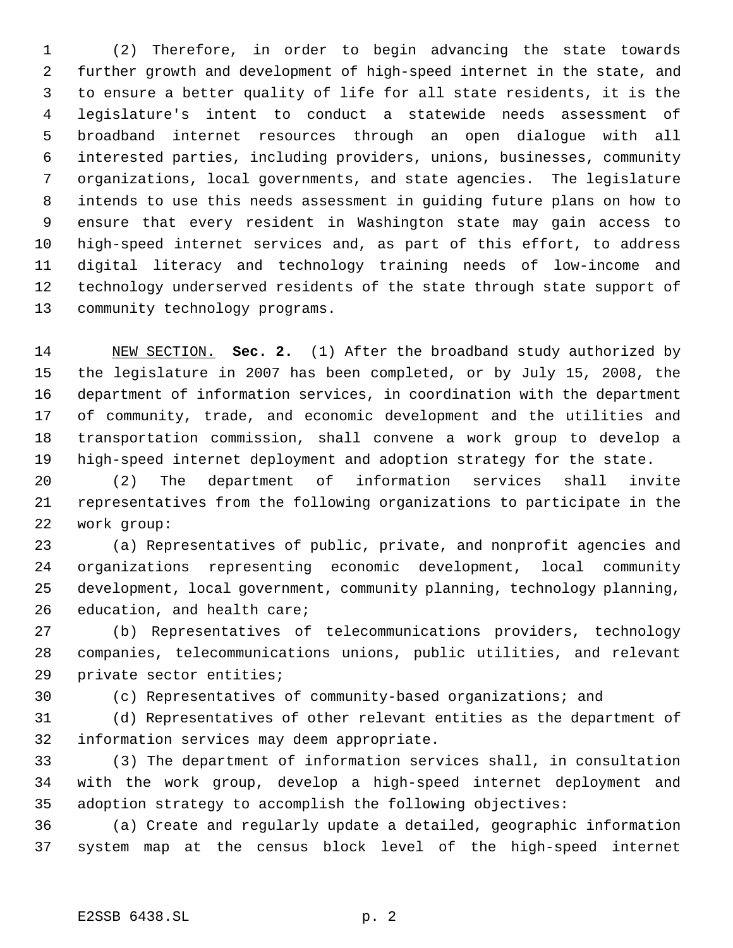(2) Therefore, in order to begin advancing the state towards further growth and development of high-speed internet in the state, and to ensure a better quality of life for all state residents, it is the legislature's intent to conduct a statewide needs assessment of broadband internet resources through an open dialogue with all interested parties, including providers, unions, businesses, community organizations, local governments, and state agencies. The legislature intends to use this needs assessment in guiding future plans on how to ensure that every resident in Washington state may gain access to high-speed internet services and, as part of this effort, to address digital literacy and technology training needs of low-income and technology underserved residents of the state through state support of community technology programs.

 NEW SECTION. **Sec. 2.** (1) After the broadband study authorized by the legislature in 2007 has been completed, or by July 15, 2008, the department of information services, in coordination with the department of community, trade, and economic development and the utilities and transportation commission, shall convene a work group to develop a high-speed internet deployment and adoption strategy for the state.

 (2) The department of information services shall invite representatives from the following organizations to participate in the work group:

 (a) Representatives of public, private, and nonprofit agencies and organizations representing economic development, local community development, local government, community planning, technology planning, education, and health care;

 (b) Representatives of telecommunications providers, technology companies, telecommunications unions, public utilities, and relevant private sector entities;

(c) Representatives of community-based organizations; and

 (d) Representatives of other relevant entities as the department of information services may deem appropriate.

 (3) The department of information services shall, in consultation with the work group, develop a high-speed internet deployment and adoption strategy to accomplish the following objectives:

 (a) Create and regularly update a detailed, geographic information system map at the census block level of the high-speed internet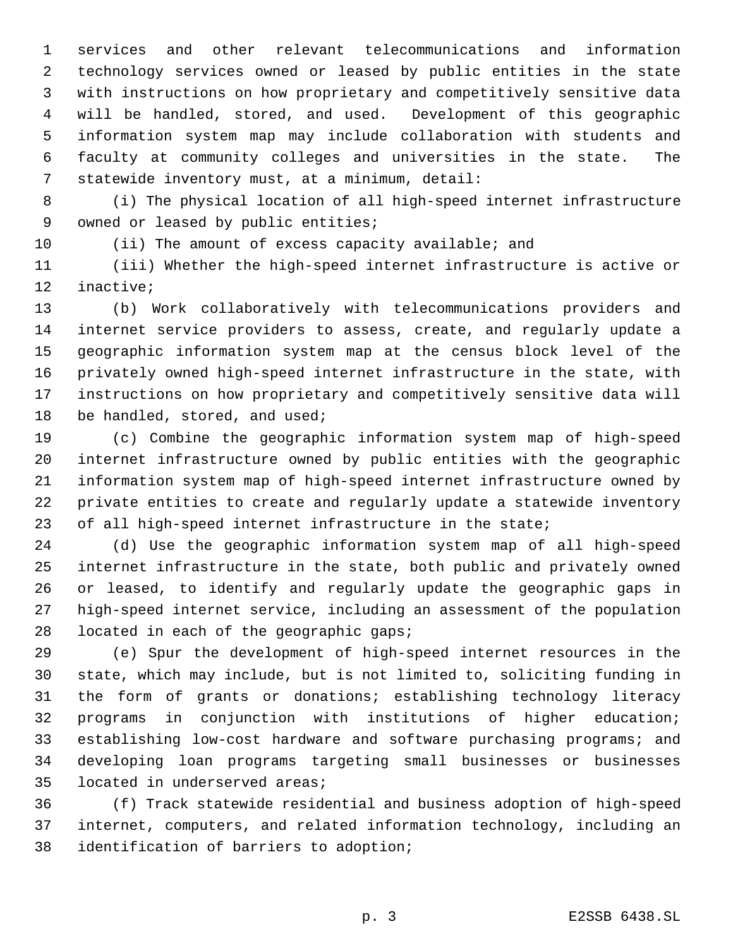services and other relevant telecommunications and information technology services owned or leased by public entities in the state with instructions on how proprietary and competitively sensitive data will be handled, stored, and used. Development of this geographic information system map may include collaboration with students and faculty at community colleges and universities in the state. The statewide inventory must, at a minimum, detail:

 (i) The physical location of all high-speed internet infrastructure 9 owned or leased by public entities;

(ii) The amount of excess capacity available; and

 (iii) Whether the high-speed internet infrastructure is active or inactive;

 (b) Work collaboratively with telecommunications providers and internet service providers to assess, create, and regularly update a geographic information system map at the census block level of the privately owned high-speed internet infrastructure in the state, with instructions on how proprietary and competitively sensitive data will 18 be handled, stored, and used;

 (c) Combine the geographic information system map of high-speed internet infrastructure owned by public entities with the geographic information system map of high-speed internet infrastructure owned by private entities to create and regularly update a statewide inventory of all high-speed internet infrastructure in the state;

 (d) Use the geographic information system map of all high-speed internet infrastructure in the state, both public and privately owned or leased, to identify and regularly update the geographic gaps in high-speed internet service, including an assessment of the population 28 located in each of the geographic gaps;

 (e) Spur the development of high-speed internet resources in the state, which may include, but is not limited to, soliciting funding in the form of grants or donations; establishing technology literacy programs in conjunction with institutions of higher education; establishing low-cost hardware and software purchasing programs; and developing loan programs targeting small businesses or businesses located in underserved areas;

 (f) Track statewide residential and business adoption of high-speed internet, computers, and related information technology, including an identification of barriers to adoption;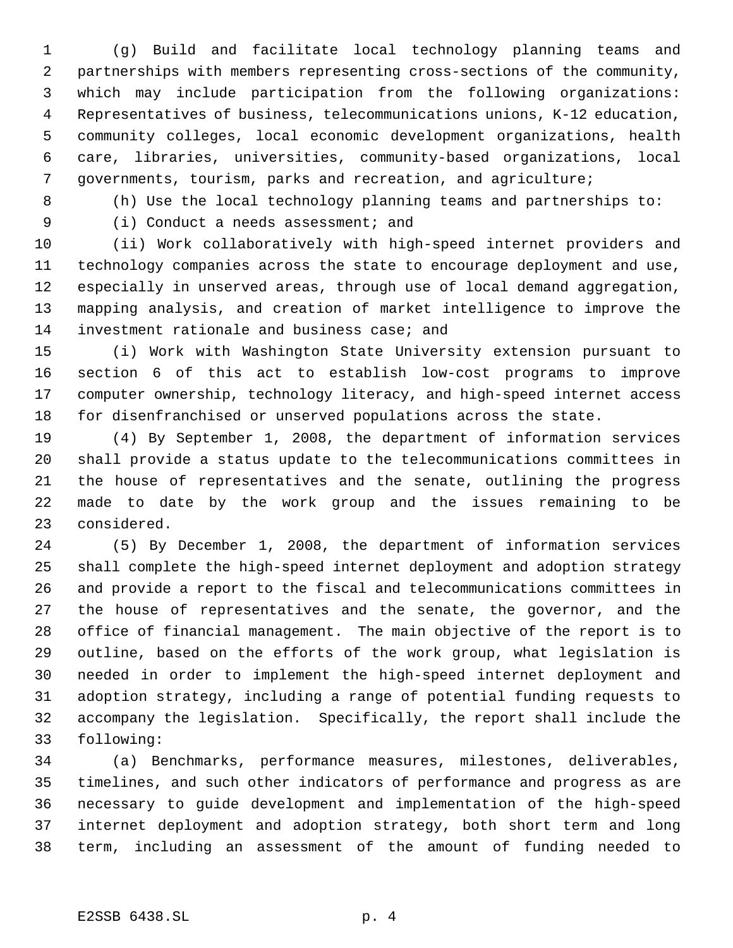(g) Build and facilitate local technology planning teams and partnerships with members representing cross-sections of the community, which may include participation from the following organizations: Representatives of business, telecommunications unions, K-12 education, community colleges, local economic development organizations, health care, libraries, universities, community-based organizations, local governments, tourism, parks and recreation, and agriculture;

(h) Use the local technology planning teams and partnerships to:

9 (i) Conduct a needs assessment; and

 (ii) Work collaboratively with high-speed internet providers and technology companies across the state to encourage deployment and use, especially in unserved areas, through use of local demand aggregation, mapping analysis, and creation of market intelligence to improve the investment rationale and business case; and

 (i) Work with Washington State University extension pursuant to section 6 of this act to establish low-cost programs to improve computer ownership, technology literacy, and high-speed internet access for disenfranchised or unserved populations across the state.

 (4) By September 1, 2008, the department of information services shall provide a status update to the telecommunications committees in the house of representatives and the senate, outlining the progress made to date by the work group and the issues remaining to be considered.

 (5) By December 1, 2008, the department of information services shall complete the high-speed internet deployment and adoption strategy and provide a report to the fiscal and telecommunications committees in the house of representatives and the senate, the governor, and the office of financial management. The main objective of the report is to outline, based on the efforts of the work group, what legislation is needed in order to implement the high-speed internet deployment and adoption strategy, including a range of potential funding requests to accompany the legislation. Specifically, the report shall include the following:

 (a) Benchmarks, performance measures, milestones, deliverables, timelines, and such other indicators of performance and progress as are necessary to guide development and implementation of the high-speed internet deployment and adoption strategy, both short term and long term, including an assessment of the amount of funding needed to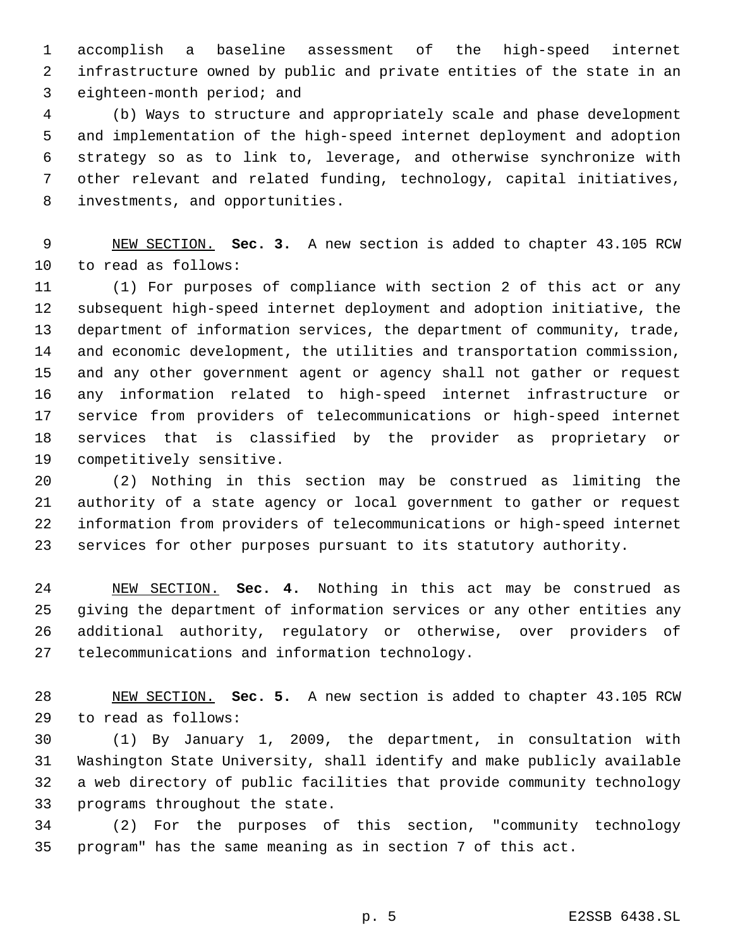accomplish a baseline assessment of the high-speed internet infrastructure owned by public and private entities of the state in an eighteen-month period; and

 (b) Ways to structure and appropriately scale and phase development and implementation of the high-speed internet deployment and adoption strategy so as to link to, leverage, and otherwise synchronize with other relevant and related funding, technology, capital initiatives, investments, and opportunities.

 NEW SECTION. **Sec. 3.** A new section is added to chapter 43.105 RCW to read as follows:

 (1) For purposes of compliance with section 2 of this act or any subsequent high-speed internet deployment and adoption initiative, the department of information services, the department of community, trade, and economic development, the utilities and transportation commission, and any other government agent or agency shall not gather or request any information related to high-speed internet infrastructure or service from providers of telecommunications or high-speed internet services that is classified by the provider as proprietary or competitively sensitive.

 (2) Nothing in this section may be construed as limiting the authority of a state agency or local government to gather or request information from providers of telecommunications or high-speed internet services for other purposes pursuant to its statutory authority.

 NEW SECTION. **Sec. 4.** Nothing in this act may be construed as giving the department of information services or any other entities any additional authority, regulatory or otherwise, over providers of telecommunications and information technology.

 NEW SECTION. **Sec. 5.** A new section is added to chapter 43.105 RCW to read as follows:

 (1) By January 1, 2009, the department, in consultation with Washington State University, shall identify and make publicly available a web directory of public facilities that provide community technology programs throughout the state.

 (2) For the purposes of this section, "community technology program" has the same meaning as in section 7 of this act.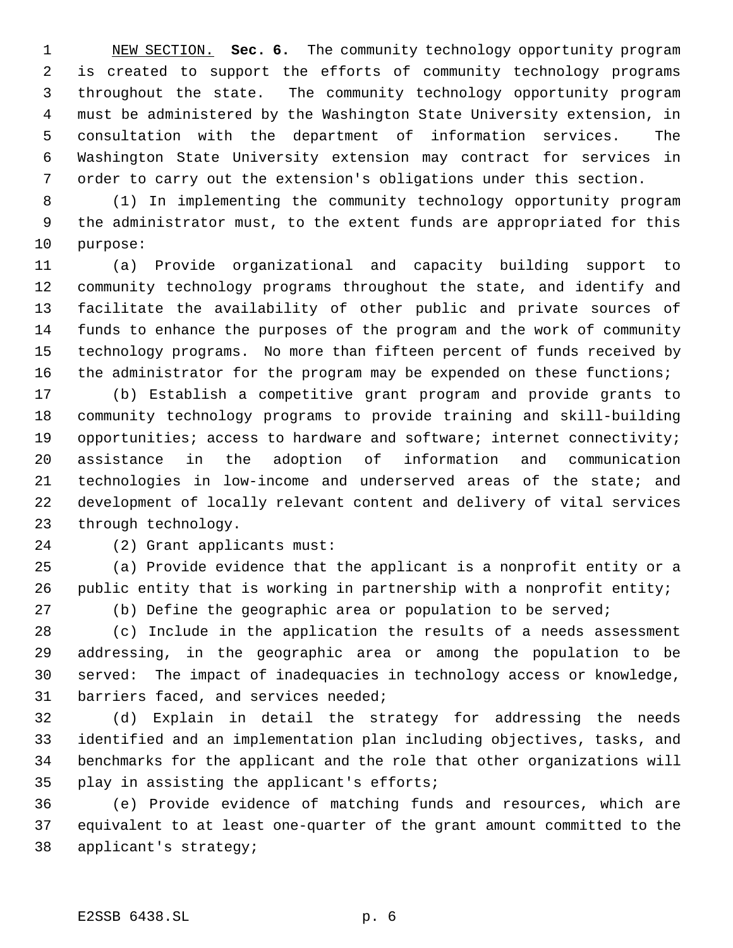NEW SECTION. **Sec. 6.** The community technology opportunity program is created to support the efforts of community technology programs throughout the state. The community technology opportunity program must be administered by the Washington State University extension, in consultation with the department of information services. The Washington State University extension may contract for services in order to carry out the extension's obligations under this section.

 (1) In implementing the community technology opportunity program the administrator must, to the extent funds are appropriated for this purpose:

 (a) Provide organizational and capacity building support to community technology programs throughout the state, and identify and facilitate the availability of other public and private sources of funds to enhance the purposes of the program and the work of community technology programs. No more than fifteen percent of funds received by 16 the administrator for the program may be expended on these functions;

 (b) Establish a competitive grant program and provide grants to community technology programs to provide training and skill-building 19 opportunities; access to hardware and software; internet connectivity; assistance in the adoption of information and communication technologies in low-income and underserved areas of the state; and development of locally relevant content and delivery of vital services through technology.

(2) Grant applicants must:

 (a) Provide evidence that the applicant is a nonprofit entity or a public entity that is working in partnership with a nonprofit entity;

(b) Define the geographic area or population to be served;

 (c) Include in the application the results of a needs assessment addressing, in the geographic area or among the population to be served: The impact of inadequacies in technology access or knowledge, barriers faced, and services needed;

 (d) Explain in detail the strategy for addressing the needs identified and an implementation plan including objectives, tasks, and benchmarks for the applicant and the role that other organizations will play in assisting the applicant's efforts;

 (e) Provide evidence of matching funds and resources, which are equivalent to at least one-quarter of the grant amount committed to the applicant's strategy;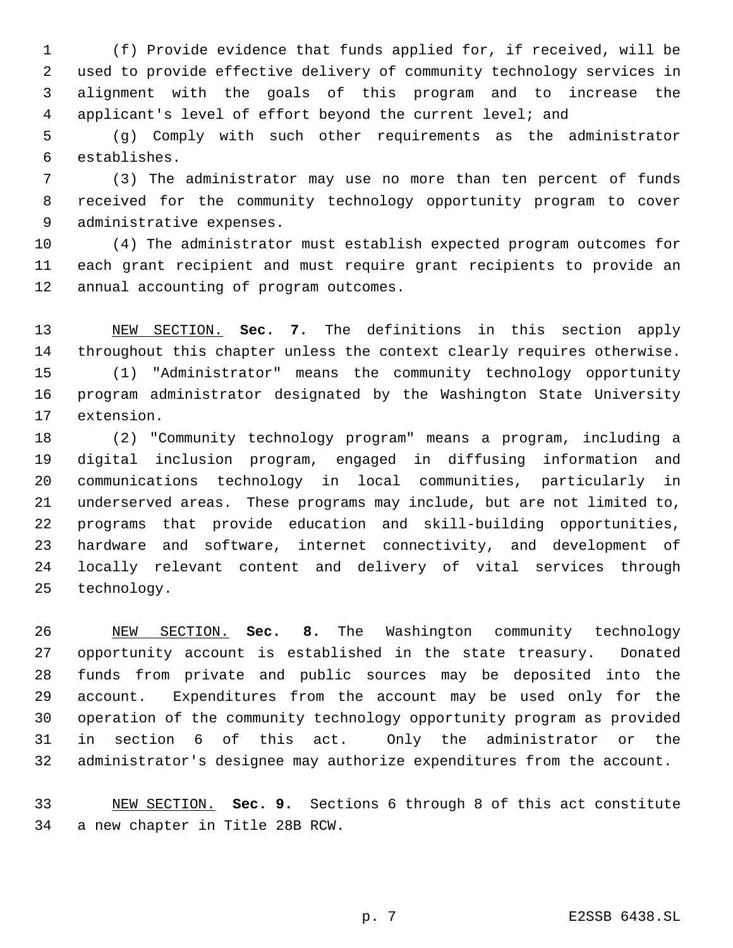(f) Provide evidence that funds applied for, if received, will be used to provide effective delivery of community technology services in alignment with the goals of this program and to increase the applicant's level of effort beyond the current level; and

 (g) Comply with such other requirements as the administrator establishes.

 (3) The administrator may use no more than ten percent of funds received for the community technology opportunity program to cover administrative expenses.

 (4) The administrator must establish expected program outcomes for each grant recipient and must require grant recipients to provide an annual accounting of program outcomes.

 NEW SECTION. **Sec. 7.** The definitions in this section apply throughout this chapter unless the context clearly requires otherwise. (1) "Administrator" means the community technology opportunity program administrator designated by the Washington State University extension.

 (2) "Community technology program" means a program, including a digital inclusion program, engaged in diffusing information and communications technology in local communities, particularly in underserved areas. These programs may include, but are not limited to, programs that provide education and skill-building opportunities, hardware and software, internet connectivity, and development of locally relevant content and delivery of vital services through technology.

 NEW SECTION. **Sec. 8.** The Washington community technology opportunity account is established in the state treasury. Donated funds from private and public sources may be deposited into the account. Expenditures from the account may be used only for the operation of the community technology opportunity program as provided in section 6 of this act. Only the administrator or the administrator's designee may authorize expenditures from the account.

 NEW SECTION. **Sec. 9.** Sections 6 through 8 of this act constitute a new chapter in Title 28B RCW.